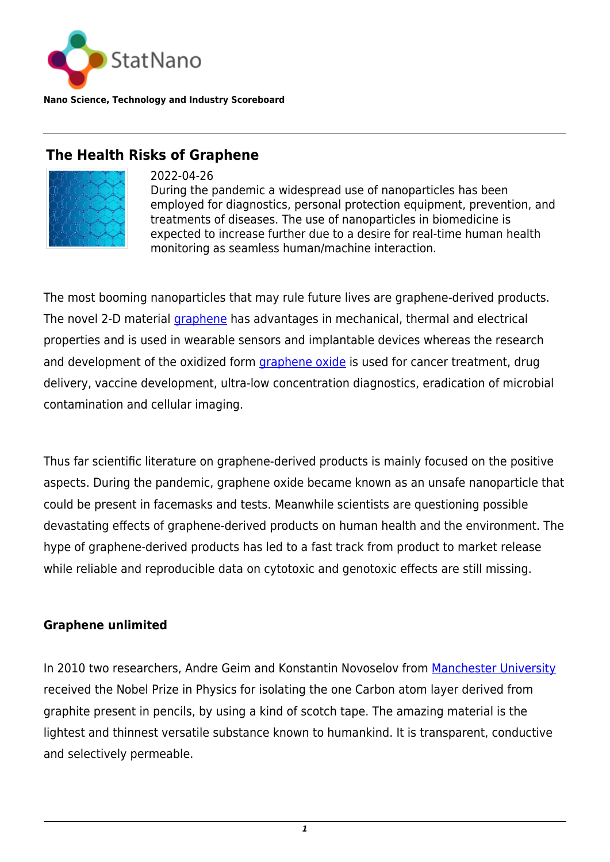

**Nano Science, Technology and Industry Scoreboard**

# **The Health Risks of Graphene**



2022-04-26 During the pandemic a widespread use of nanoparticles has been employed for diagnostics, personal protection equipment, prevention, and treatments of diseases. The use of nanoparticles in biomedicine is expected to increase further due to a desire for real-time human health monitoring as seamless human/machine interaction.

The most booming nanoparticles that may rule future lives are graphene-derived products. The novel 2-D material [graphene](https://statnano.com/nanomaterial/21/Graphene) has advantages in mechanical, thermal and electrical properties and is used in wearable sensors and implantable devices whereas the research and development of the oxidized form [graphene oxide](https://statnano.com/nanomaterial/56/Graphene-Oxide) is used for cancer treatment, drug delivery, vaccine development, ultra-low concentration diagnostics, eradication of microbial contamination and cellular imaging.

Thus far scientific literature on graphene-derived products is mainly focused on the positive aspects. During the pandemic, graphene oxide became known as an unsafe nanoparticle that could be present in facemasks and tests. Meanwhile scientists are questioning possible devastating effects of graphene-derived products on human health and the environment. The hype of graphene-derived products has led to a fast track from product to market release while reliable and reproducible data on cytotoxic and genotoxic effects are still missing.

#### **Graphene unlimited**

In 2010 two researchers, Andre Geim and Konstantin Novoselov from [Manchester University](https://statnano.com/org/University-of-Manchester) received the Nobel Prize in Physics for isolating the one Carbon atom layer derived from graphite present in pencils, by using a kind of scotch tape. The amazing material is the lightest and thinnest versatile substance known to humankind. It is transparent, conductive and selectively permeable.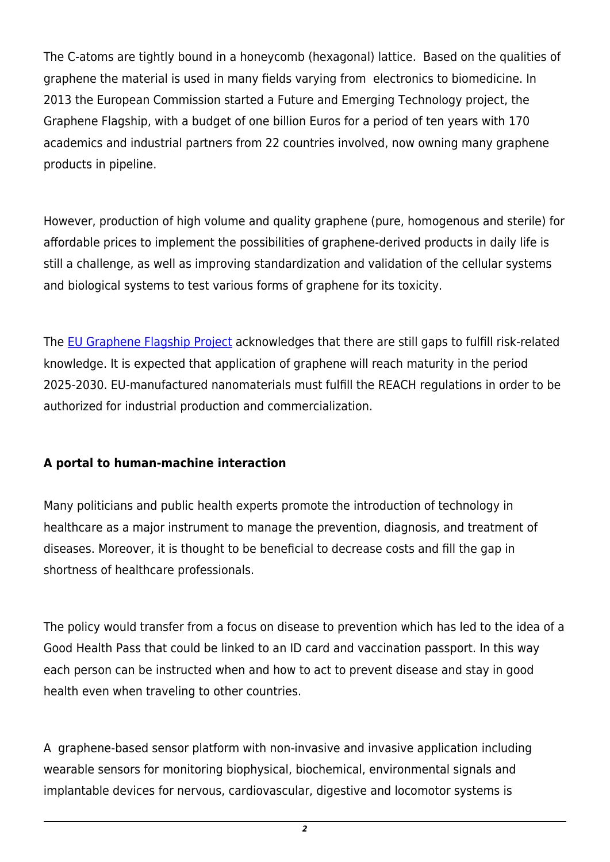The C-atoms are tightly bound in a honeycomb (hexagonal) lattice. Based on the qualities of graphene the material is used in many fields varying from electronics to biomedicine. In 2013 the European Commission started a Future and Emerging Technology project, the Graphene Flagship, with a budget of one billion Euros for a period of ten years with 170 academics and industrial partners from 22 countries involved, now owning many graphene products in pipeline.

However, production of high volume and quality graphene (pure, homogenous and sterile) for affordable prices to implement the possibilities of graphene-derived products in daily life is still a challenge, as well as improving standardization and validation of the cellular systems and biological systems to test various forms of graphene for its toxicity.

The [EU Graphene Flagship Project](https://graphene-flagship.eu/) acknowledges that there are still gaps to fulfill risk-related knowledge. It is expected that application of graphene will reach maturity in the period 2025-2030. EU-manufactured nanomaterials must fulfill the REACH regulations in order to be authorized for industrial production and commercialization.

### **A portal to human-machine interaction**

Many politicians and public health experts promote the introduction of technology in healthcare as a major instrument to manage the prevention, diagnosis, and treatment of diseases. Moreover, it is thought to be beneficial to decrease costs and fill the gap in shortness of healthcare professionals.

The policy would transfer from a focus on disease to prevention which has led to the idea of a Good Health Pass that could be linked to an ID card and vaccination passport. In this way each person can be instructed when and how to act to prevent disease and stay in good health even when traveling to other countries.

A graphene-based sensor platform with non-invasive and invasive application including wearable sensors for monitoring biophysical, biochemical, environmental signals and implantable devices for nervous, cardiovascular, digestive and locomotor systems is

*2*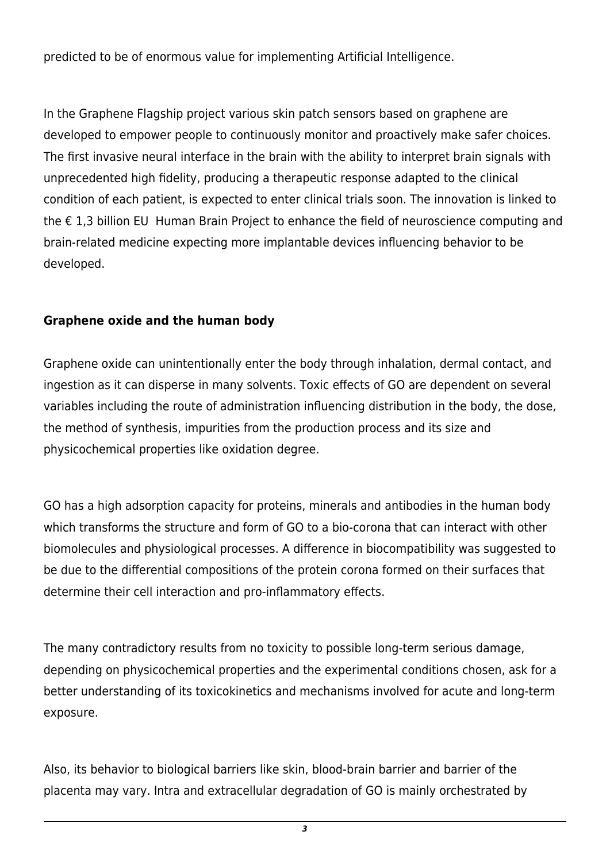predicted to be of enormous value for implementing Artificial Intelligence.

In the Graphene Flagship project various skin patch sensors based on graphene are developed to empower people to continuously monitor and proactively make safer choices. The first invasive neural interface in the brain with the ability to interpret brain signals with unprecedented high fidelity, producing a therapeutic response adapted to the clinical condition of each patient, is expected to enter clinical trials soon. The innovation is linked to the € 1,3 billion EU Human Brain Project to enhance the field of neuroscience computing and brain-related medicine expecting more implantable devices influencing behavior to be developed.

## **Graphene oxide and the human body**

Graphene oxide can unintentionally enter the body through inhalation, dermal contact, and ingestion as it can disperse in many solvents. Toxic effects of GO are dependent on several variables including the route of administration influencing distribution in the body, the dose, the method of synthesis, impurities from the production process and its size and physicochemical properties like oxidation degree.

GO has a high adsorption capacity for proteins, minerals and antibodies in the human body which transforms the structure and form of GO to a bio-corona that can interact with other biomolecules and physiological processes. A difference in biocompatibility was suggested to be due to the differential compositions of the protein corona formed on their surfaces that determine their cell interaction and pro-inflammatory effects.

The many contradictory results from no toxicity to possible long-term serious damage, depending on physicochemical properties and the experimental conditions chosen, ask for a better understanding of its toxicokinetics and mechanisms involved for acute and long-term exposure.

Also, its behavior to biological barriers like skin, blood-brain barrier and barrier of the placenta may vary. Intra and extracellular degradation of GO is mainly orchestrated by

*3*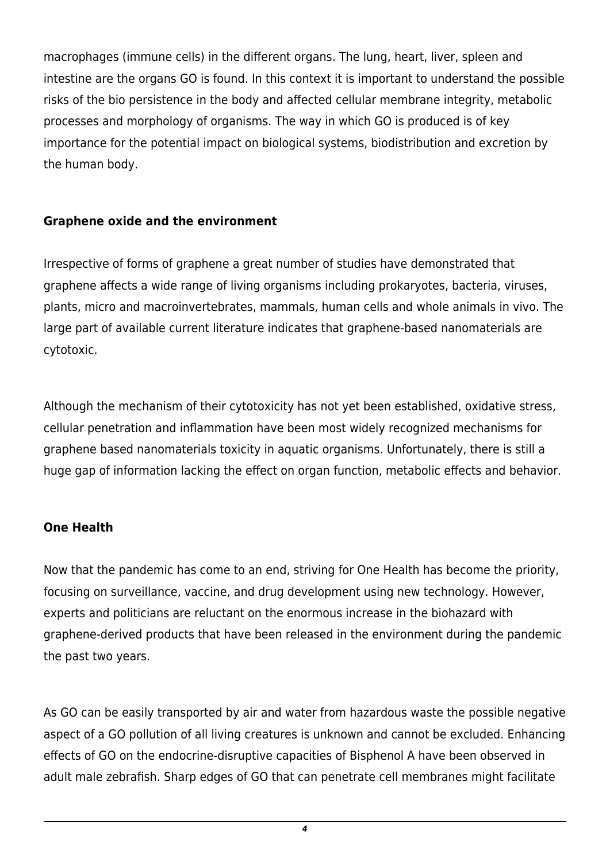macrophages (immune cells) in the different organs. The lung, heart, liver, spleen and intestine are the organs GO is found. In this context it is important to understand the possible risks of the bio persistence in the body and affected cellular membrane integrity, metabolic processes and morphology of organisms. The way in which GO is produced is of key importance for the potential impact on biological systems, biodistribution and excretion by the human body.

### **Graphene oxide and the environment**

Irrespective of forms of graphene a great number of studies have demonstrated that graphene affects a wide range of living organisms including prokaryotes, bacteria, viruses, plants, micro and macroinvertebrates, mammals, human cells and whole animals in vivo. The large part of available current literature indicates that graphene-based nanomaterials are cytotoxic.

Although the mechanism of their cytotoxicity has not yet been established, oxidative stress, cellular penetration and inflammation have been most widely recognized mechanisms for graphene based nanomaterials toxicity in aquatic organisms. Unfortunately, there is still a huge gap of information lacking the effect on organ function, metabolic effects and behavior.

#### **One Health**

Now that the pandemic has come to an end, striving for One Health has become the priority, focusing on surveillance, vaccine, and drug development using new technology. However, experts and politicians are reluctant on the enormous increase in the biohazard with graphene-derived products that have been released in the environment during the pandemic the past two years.

As GO can be easily transported by air and water from hazardous waste the possible negative aspect of a GO pollution of all living creatures is unknown and cannot be excluded. Enhancing effects of GO on the endocrine-disruptive capacities of Bisphenol A have been observed in adult male zebrafish. Sharp edges of GO that can penetrate cell membranes might facilitate